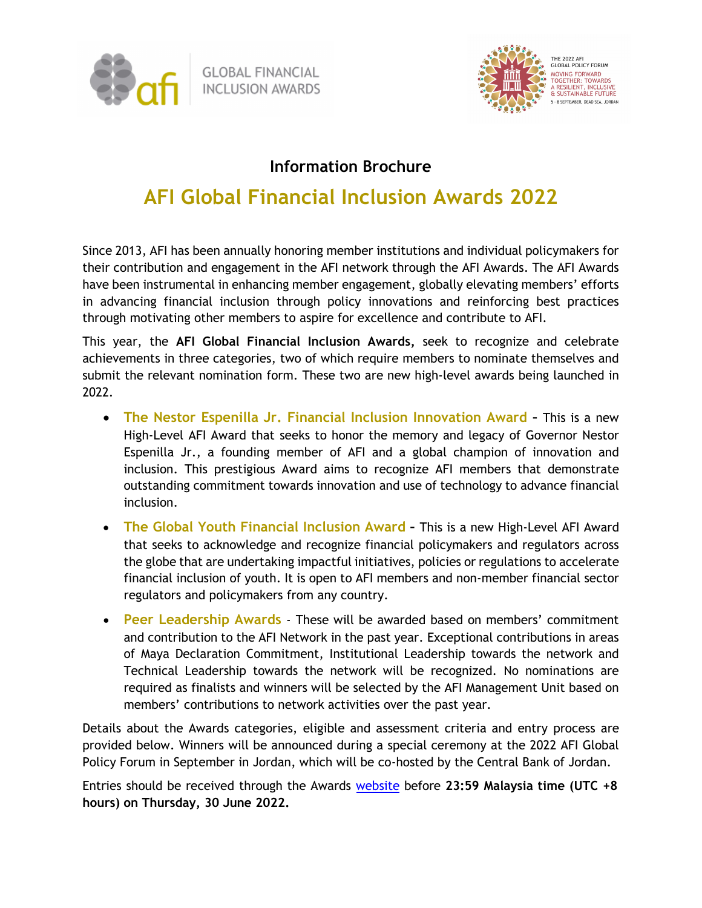



### **Information Brochure**

# **AFI Global Financial Inclusion Awards 2022**

Since 2013, AFI has been annually honoring member institutions and individual policymakers for their contribution and engagement in the AFI network through the AFI Awards. The AFI Awards have been instrumental in enhancing member engagement, globally elevating members' efforts in advancing financial inclusion through policy innovations and reinforcing best practices through motivating other members to aspire for excellence and contribute to AFI.

This year, the **AFI Global Financial Inclusion Awards,** seek to recognize and celebrate achievements in three categories, two of which require members to nominate themselves and submit the relevant nomination form. These two are new high-level awards being launched in 2022.

- **The Nestor Espenilla Jr. Financial Inclusion Innovation Award** This is a new High-Level AFI Award that seeks to honor the memory and legacy of Governor Nestor Espenilla Jr., a founding member of AFI and a global champion of innovation and inclusion. This prestigious Award aims to recognize AFI members that demonstrate outstanding commitment towards innovation and use of technology to advance financial inclusion.
- **The Global Youth Financial Inclusion Award** This is a new High-Level AFI Award that seeks to acknowledge and recognize financial policymakers and regulators across the globe that are undertaking impactful initiatives, policies or regulations to accelerate financial inclusion of youth. It is open to AFI members and non-member financial sector regulators and policymakers from any country.
- **Peer Leadership Awards**  These will be awarded based on members' commitment and contribution to the AFI Network in the past year. Exceptional contributions in areas of Maya Declaration Commitment, Institutional Leadership towards the network and Technical Leadership towards the network will be recognized. No nominations are required as finalists and winners will be selected by the AFI Management Unit based on members' contributions to network activities over the past year.

Details about the Awards categories, eligible and assessment criteria and entry process are provided below. Winners will be announced during a special ceremony at the 2022 AFI Global Policy Forum in September in Jordan, which will be co-hosted by the Central Bank of Jordan.

Entries should be received through the Award[s website](https://www.afi-global.org/global-voice/afi-awards/) before **23:59 Malaysia time (UTC +8 hours) on Thursday, 30 June 2022.**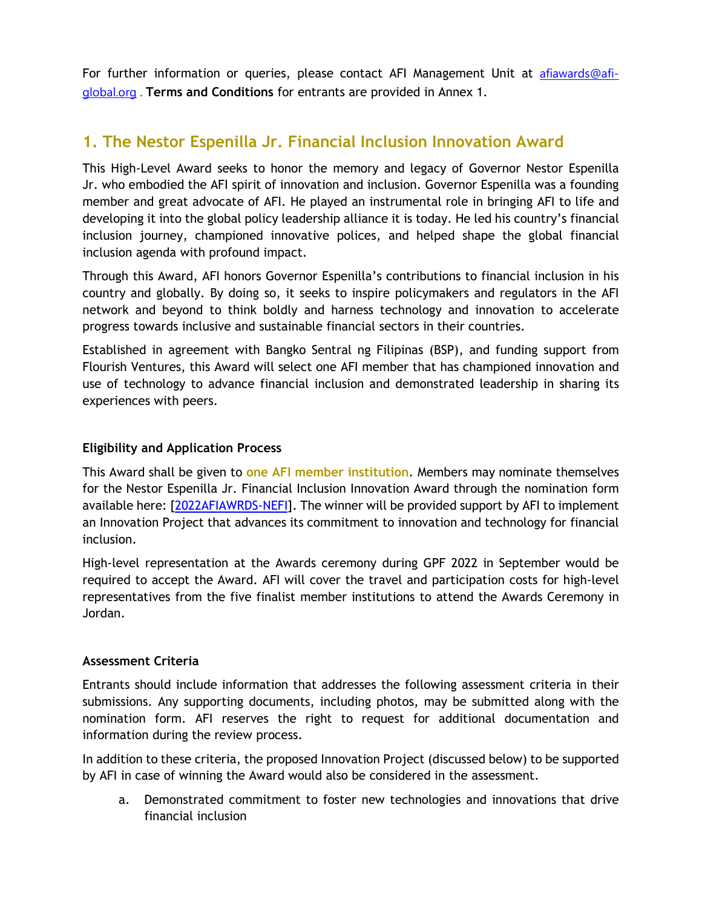For further information or queries, please contact AFI Management Unit at [afiawards@afi](mailto:afiawards@afi-global.org)[global.org](mailto:afiawards@afi-global.org) . **Terms and Conditions** for entrants are provided in Annex 1.

### **1. The Nestor Espenilla Jr. Financial Inclusion Innovation Award**

This High-Level Award seeks to honor the memory and legacy of Governor Nestor Espenilla Jr. who embodied the AFI spirit of innovation and inclusion. Governor Espenilla was a founding member and great advocate of AFI. He played an instrumental role in bringing AFI to life and developing it into the global policy leadership alliance it is today. He led his country's financial inclusion journey, championed innovative polices, and helped shape the global financial inclusion agenda with profound impact.

Through this Award, AFI honors Governor Espenilla's contributions to financial inclusion in his country and globally. By doing so, it seeks to inspire policymakers and regulators in the AFI network and beyond to think boldly and harness technology and innovation to accelerate progress towards inclusive and sustainable financial sectors in their countries.

Established in agreement with Bangko Sentral ng Filipinas (BSP), and funding support from Flourish Ventures, this Award will select one AFI member that has championed innovation and use of technology to advance financial inclusion and demonstrated leadership in sharing its experiences with peers.

#### **Eligibility and Application Process**

This Award shall be given to **one AFI member institution**. Members may nominate themselves for the Nestor Espenilla Jr. Financial Inclusion Innovation Award through the nomination form available here: [\[2022AFIAWRDS-NEFI\]](https://www.surveymonkey.com/r/2022AFIAWRDS-NEFI). The winner will be provided support by AFI to implement an Innovation Project that advances its commitment to innovation and technology for financial inclusion.

High-level representation at the Awards ceremony during GPF 2022 in September would be required to accept the Award. AFI will cover the travel and participation costs for high-level representatives from the five finalist member institutions to attend the Awards Ceremony in Jordan.

#### **Assessment Criteria**

Entrants should include information that addresses the following assessment criteria in their submissions. Any supporting documents, including photos, may be submitted along with the nomination form. AFI reserves the right to request for additional documentation and information during the review process.

In addition to these criteria, the proposed Innovation Project (discussed below) to be supported by AFI in case of winning the Award would also be considered in the assessment.

a. Demonstrated commitment to foster new technologies and innovations that drive financial inclusion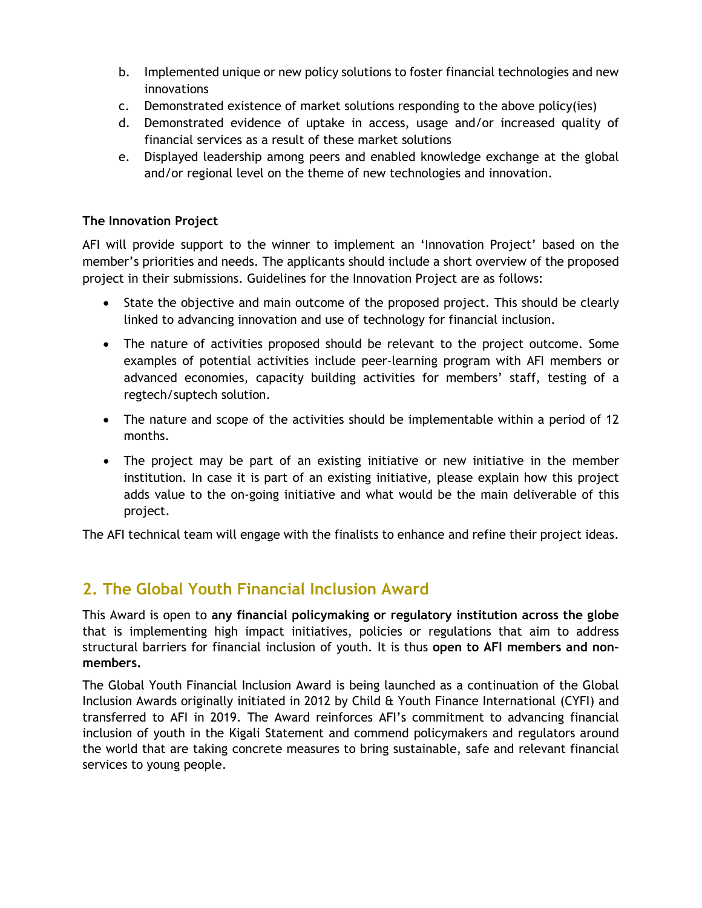- b. Implemented unique or new policy solutions to foster financial technologies and new innovations
- c. Demonstrated existence of market solutions responding to the above policy(ies)
- d. Demonstrated evidence of uptake in access, usage and/or increased quality of financial services as a result of these market solutions
- e. Displayed leadership among peers and enabled knowledge exchange at the global and/or regional level on the theme of new technologies and innovation.

#### **The Innovation Project**

AFI will provide support to the winner to implement an 'Innovation Project' based on the member's priorities and needs. The applicants should include a short overview of the proposed project in their submissions. Guidelines for the Innovation Project are as follows:

- State the objective and main outcome of the proposed project. This should be clearly linked to advancing innovation and use of technology for financial inclusion.
- The nature of activities proposed should be relevant to the project outcome. Some examples of potential activities include peer-learning program with AFI members or advanced economies, capacity building activities for members' staff, testing of a regtech/suptech solution.
- The nature and scope of the activities should be implementable within a period of 12 months.
- The project may be part of an existing initiative or new initiative in the member institution. In case it is part of an existing initiative, please explain how this project adds value to the on-going initiative and what would be the main deliverable of this project.

The AFI technical team will engage with the finalists to enhance and refine their project ideas.

### **2. The Global Youth Financial Inclusion Award**

This Award is open to **any financial policymaking or regulatory institution across the globe** that is implementing high impact initiatives, policies or regulations that aim to address structural barriers for financial inclusion of youth. It is thus **open to AFI members and nonmembers.** 

The Global Youth Financial Inclusion Award is being launched as a continuation of the Global Inclusion Awards originally initiated in 2012 by Child & Youth Finance International (CYFI) and transferred to AFI in 2019. The Award reinforces AFI's commitment to advancing financial inclusion of youth in the Kigali Statement and commend policymakers and regulators around the world that are taking concrete measures to bring sustainable, safe and relevant financial services to young people.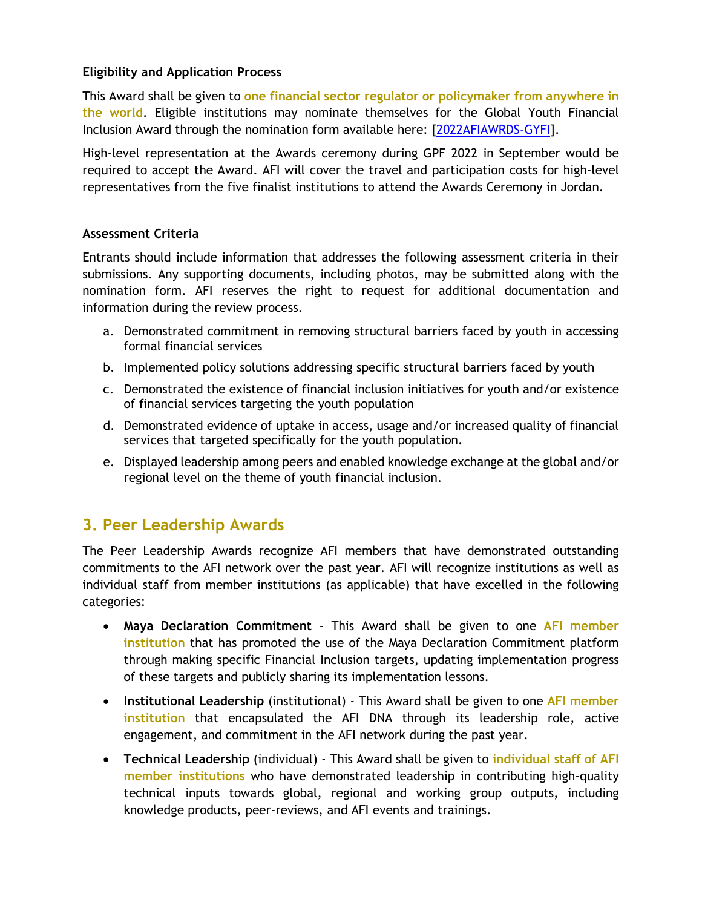#### **Eligibility and Application Process**

This Award shall be given to **one financial sector regulator or policymaker from anywhere in the world**. Eligible institutions may nominate themselves for the Global Youth Financial Inclusion Award through the nomination form available here: [\[2022AFIAWRDS-GYFI\]](https://www.surveymonkey.com/r/2022AFIAWRDS-GYFI).

High-level representation at the Awards ceremony during GPF 2022 in September would be required to accept the Award. AFI will cover the travel and participation costs for high-level representatives from the five finalist institutions to attend the Awards Ceremony in Jordan.

#### **Assessment Criteria**

Entrants should include information that addresses the following assessment criteria in their submissions. Any supporting documents, including photos, may be submitted along with the nomination form. AFI reserves the right to request for additional documentation and information during the review process.

- a. Demonstrated commitment in removing structural barriers faced by youth in accessing formal financial services
- b. Implemented policy solutions addressing specific structural barriers faced by youth
- c. Demonstrated the existence of financial inclusion initiatives for youth and/or existence of financial services targeting the youth population
- d. Demonstrated evidence of uptake in access, usage and/or increased quality of financial services that targeted specifically for the youth population.
- e. Displayed leadership among peers and enabled knowledge exchange at the global and/or regional level on the theme of youth financial inclusion.

### **3. Peer Leadership Awards**

The Peer Leadership Awards recognize AFI members that have demonstrated outstanding commitments to the AFI network over the past year. AFI will recognize institutions as well as individual staff from member institutions (as applicable) that have excelled in the following categories:

- **Maya Declaration Commitment** This Award shall be given to one **AFI member institution** that has promoted the use of the Maya Declaration Commitment platform through making specific Financial Inclusion targets, updating implementation progress of these targets and publicly sharing its implementation lessons.
- **Institutional Leadership** (institutional) This Award shall be given to one **AFI member institution** that encapsulated the AFI DNA through its leadership role, active engagement, and commitment in the AFI network during the past year.
- **Technical Leadership** (individual) This Award shall be given to **individual staff of AFI member institutions** who have demonstrated leadership in contributing high-quality technical inputs towards global, regional and working group outputs, including knowledge products, peer-reviews, and AFI events and trainings.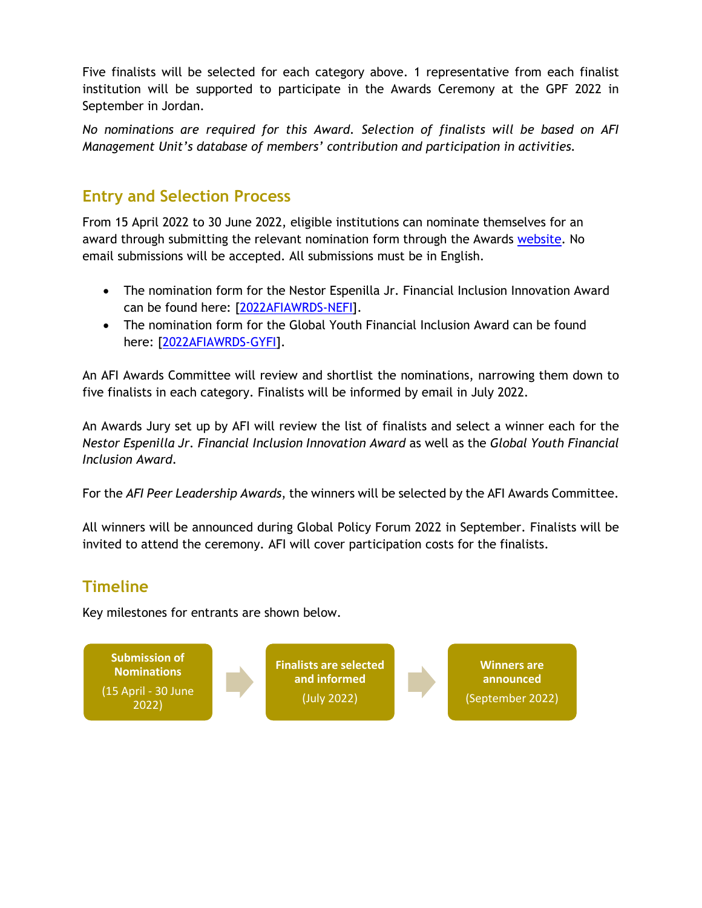Five finalists will be selected for each category above. 1 representative from each finalist institution will be supported to participate in the Awards Ceremony at the GPF 2022 in September in Jordan.

*No nominations are required for this Award. Selection of finalists will be based on AFI Management Unit's database of members' contribution and participation in activities.* 

### **Entry and Selection Process**

From 15 April 2022 to 30 June 2022, eligible institutions can nominate themselves for an award through submitting the relevant nomination form through the Awards [website.](https://www.afi-global.org/global-voice/afi-awards/) No email submissions will be accepted. All submissions must be in English.

- The nomination form for the Nestor Espenilla Jr. Financial Inclusion Innovation Award can be found here: [\[2022AFIAWRDS-NEFI\]](https://www.surveymonkey.com/r/2022AFIAWRDS-NEFI).
- The nomination form for the Global Youth Financial Inclusion Award can be found here: [\[2022AFIAWRDS-GYFI\]](https://www.surveymonkey.com/r/2022AFIAWRDS-GYFI).

An AFI Awards Committee will review and shortlist the nominations, narrowing them down to five finalists in each category. Finalists will be informed by email in July 2022.

An Awards Jury set up by AFI will review the list of finalists and select a winner each for the *Nestor Espenilla Jr. Financial Inclusion Innovation Award* as well as the *Global Youth Financial Inclusion Award*.

For the *AFI Peer Leadership Awards*, the winners will be selected by the AFI Awards Committee.

All winners will be announced during Global Policy Forum 2022 in September. Finalists will be invited to attend the ceremony. AFI will cover participation costs for the finalists.

## **Timeline**

Key milestones for entrants are shown below.

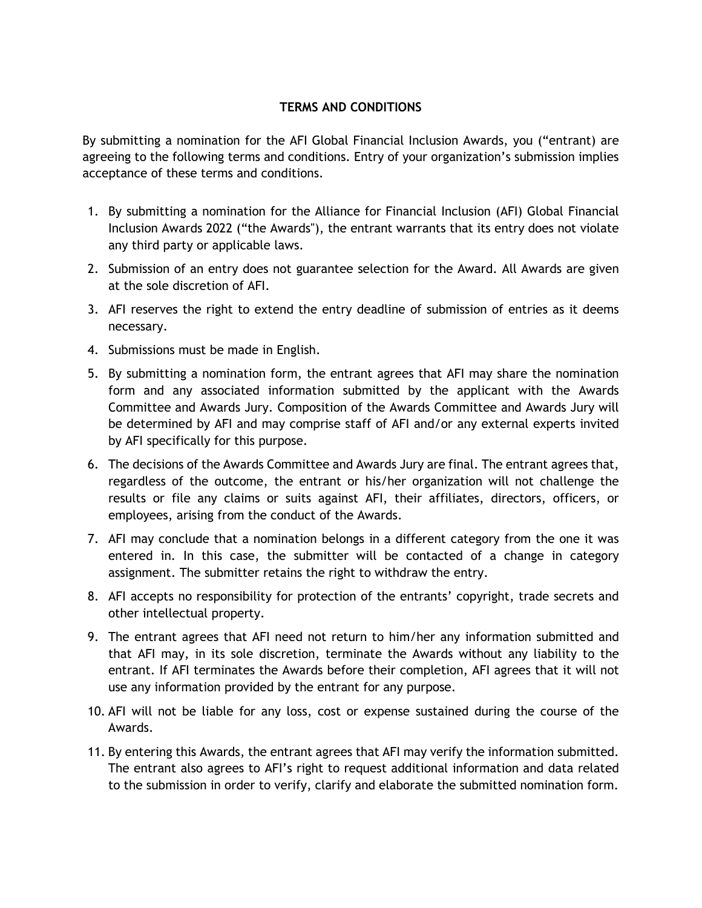#### **TERMS AND CONDITIONS**

By submitting a nomination for the AFI Global Financial Inclusion Awards, you ("entrant) are agreeing to the following terms and conditions. Entry of your organization's submission implies acceptance of these terms and conditions.

- 1. By submitting a nomination for the Alliance for Financial Inclusion (AFI) Global Financial Inclusion Awards 2022 ("the Awards"), the entrant warrants that its entry does not violate any third party or applicable laws.
- 2. Submission of an entry does not guarantee selection for the Award. All Awards are given at the sole discretion of AFI.
- 3. AFI reserves the right to extend the entry deadline of submission of entries as it deems necessary.
- 4. Submissions must be made in English.
- 5. By submitting a nomination form, the entrant agrees that AFI may share the nomination form and any associated information submitted by the applicant with the Awards Committee and Awards Jury. Composition of the Awards Committee and Awards Jury will be determined by AFI and may comprise staff of AFI and/or any external experts invited by AFI specifically for this purpose.
- 6. The decisions of the Awards Committee and Awards Jury are final. The entrant agrees that, regardless of the outcome, the entrant or his/her organization will not challenge the results or file any claims or suits against AFI, their affiliates, directors, officers, or employees, arising from the conduct of the Awards.
- 7. AFI may conclude that a nomination belongs in a different category from the one it was entered in. In this case, the submitter will be contacted of a change in category assignment. The submitter retains the right to withdraw the entry.
- 8. AFI accepts no responsibility for protection of the entrants' copyright, trade secrets and other intellectual property.
- 9. The entrant agrees that AFI need not return to him/her any information submitted and that AFI may, in its sole discretion, terminate the Awards without any liability to the entrant. If AFI terminates the Awards before their completion, AFI agrees that it will not use any information provided by the entrant for any purpose.
- 10. AFI will not be liable for any loss, cost or expense sustained during the course of the Awards.
- 11. By entering this Awards, the entrant agrees that AFI may verify the information submitted. The entrant also agrees to AFI's right to request additional information and data related to the submission in order to verify, clarify and elaborate the submitted nomination form.